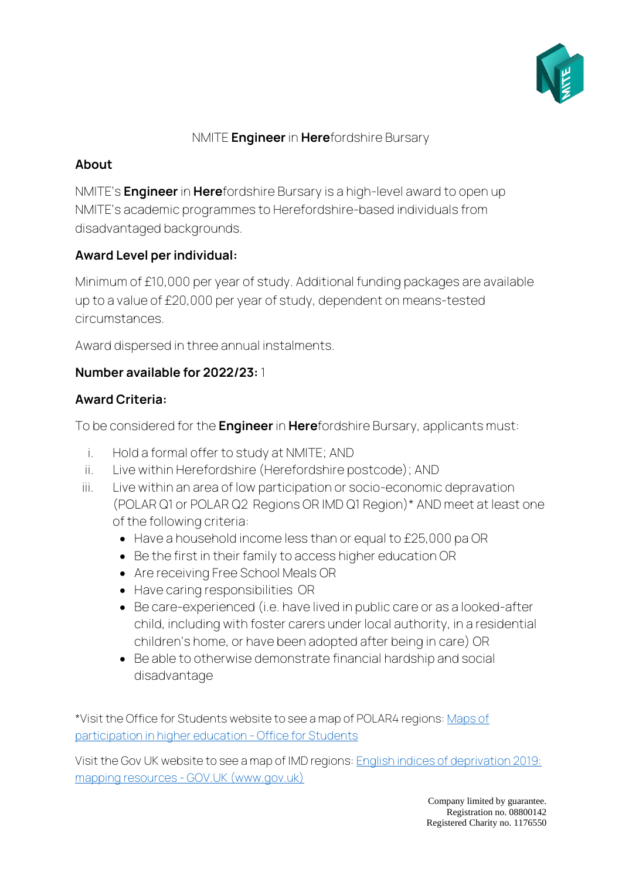

#### NMITE **Engineer** in **Here**fordshire Bursary

## **About**

NMITE's **Engineer** in **Here**fordshire Bursary is a high-level award to open up NMITE's academic programmes to Herefordshire-based individuals from disadvantaged backgrounds.

# **Award Level per individual:**

Minimum of £10,000 per year of study. Additional funding packages are available up to a value of £20,000 per year of study, dependent on means-tested circumstances.

Award dispersed in three annual instalments.

### **Number available for 2022/23:** 1

#### **Award Criteria:**

To be considered for the **Engineer** in **Here**fordshire Bursary, applicants must:

- i. Hold a formal offer to study at NMITE; AND
- ii. Live within Herefordshire (Herefordshire postcode); AND
- iii. Live within an area of low participation or socio-economic depravation (POLAR Q1 or POLAR Q2 Regions OR IMD Q1 Region)\* AND meet at least one of the following criteria:
	- Have a household income less than or equal to £25,000 pa OR
	- Be the first in their family to access higher education OR
	- Are receiving Free School Meals OR
	- Have caring responsibilities OR
	- Be care-experienced (i.e. have lived in public care or as a looked-after child, including with foster carers under local authority, in a residential children's home, or have been adopted after being in care) OR
	- Be able to otherwise demonstrate financial hardship and social disadvantage

\*Visit the Office for Students website to see a map of POLAR4 regions: Maps of participation in higher education - Office for Students

Visit the Gov UK website to see a map of IMD regions: English indices of deprivation 2019: mapping resources - GOV.UK (www.gov.uk)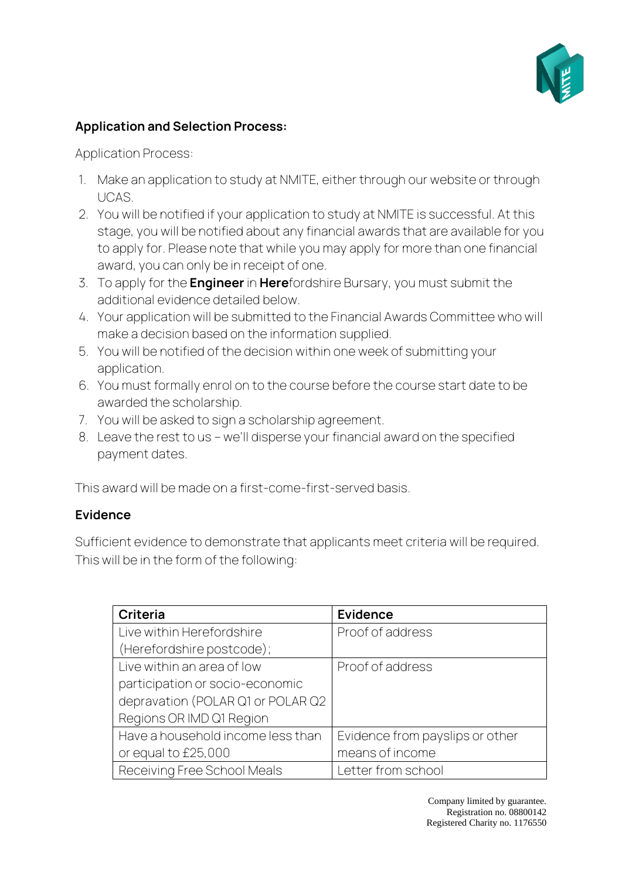

# **Application and Selection Process:**

Application Process:

- 1. Make an application to study at NMITE, either through our website or through UCAS.
- 2. You will be notified if your application to study at NMITE is successful. At this stage, you will be notified about any financial awards that are available for you to apply for. Please note that while you may apply for more than one financial award, you can only be in receipt of one.
- 3. To apply for the **Engineer** in **Here**fordshire Bursary, you must submit the additional evidence detailed below.
- 4. Your application will be submitted to the Financial Awards Committee who will make a decision based on the information supplied.
- 5. You will be notified of the decision within one week of submitting your application.
- 6. You must formally enrol on to the course before the course start date to be awarded the scholarship.
- 7. You will be asked to sign a scholarship agreement.
- 8. Leave the rest to us we'll disperse your financial award on the specified payment dates.

This award will be made on a first-come-first-served basis.

# **Evidence**

Sufficient evidence to demonstrate that applicants meet criteria will be required. This will be in the form of the following:

| Criteria                          | <b>Evidence</b>                 |
|-----------------------------------|---------------------------------|
| Live within Herefordshire         | Proof of address                |
| (Herefordshire postcode);         |                                 |
| Live within an area of low        | Proof of address                |
| participation or socio-economic   |                                 |
| depravation (POLAR Q1 or POLAR Q2 |                                 |
| Regions OR IMD Q1 Region          |                                 |
| Have a household income less than | Evidence from payslips or other |
| or equal to £25,000               | means of income                 |
| Receiving Free School Meals       | Letter from school              |